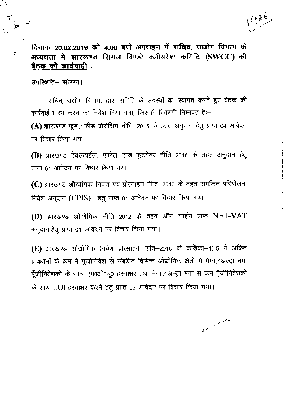दिनांक 20.02.2019 को 4.00 बजे अपराहन में सचिव, उद्योग विभाग के अध्यक्षता में झारखण्ड सिंगल विण्डो क्लीयरेंश कमिटि (SWCC) की बैठक की कार्यवाही :-

उपस्थिति– संलग्न।

सचिव, उद्योग विभाग, द्वारा समिति के सदस्यों का स्वागत करते हुए बैठक की कार्रवाई प्रारंभ करने का निदेश दिया गया, जिसकी विवरणी निम्नवत है:-

(A) झारखण्ड फुड/फीड प्रोसेसिंग नीति-2015 के तहत अनुदान हेतु प्राप्त 04 आवेदन पर विचार किया गया।

(B) झारखण्ड टेक्सटाईल, एपरेल एण्ड फुटवेयर नीति–2016 के तहत अनुदान हेतु प्राप्त 01 आवेदन पर विचार किया गया।

(C) झारखण्ड औद्योगिक निवेश एवं प्रोत्साहन नीति-2016 के तहत समेकित परियोजना निवेश अनुदान (CPIS) हेतु प्राप्त 01 आवेदन पर विचार किया गया।

(D) झारखण्ड औद्योगिक नीति 2012 के तहत ऑन लाईन प्राप्त NET-VAT अनुदान हेतु प्राप्त 01 आवेदन पर विचार किया गया।

(E) झारखण्ड औद्योगिक निवेश प्रोत्साहन नीति–2016 के कंडिका–10.5 में अंकित प्रावधानों के क्रम में पूँजीनिवेश से संबंधित विभिन्न औद्योगिक क्षेत्रों में मेगा/अल्ट्रा मेगा पूँजीनिवेशकों के साथ एम0ओ0यू0 हस्ताक्षर तथा मेगा / अल्ट्रा मेगा से कम पूँजीनिवेशकों के साथ LOI हस्ताक्षर करने हेतु प्राप्त 03 आवेदन पर विचार किया गया।

 $v^2$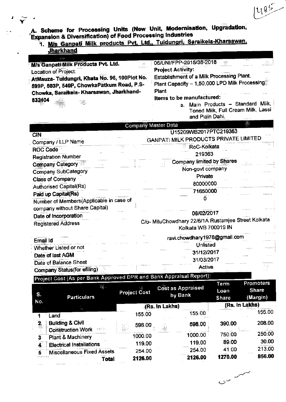A. Scheme for Processing Units (New Unit, Modernisation, Upgradation,<br>Expansion & Diversification) of Food Processing Industries

1. M/s Ganpati Milk products Pvt. Ltd., Tuidungri, Saraikela-Kharsawan, **Jharkhand** 

| - ಪರೋ                                                                                                                                | Ter                                                                                                         |
|--------------------------------------------------------------------------------------------------------------------------------------|-------------------------------------------------------------------------------------------------------------|
| <b>M/s Ganpati Milk Products Pvt. Ltd.</b><br>Æ.                                                                                     | 06/UNI/FPP-2015/36-2018<br>零位                                                                               |
| Location of Project:                                                                                                                 | <b>Project Activity:</b>                                                                                    |
| AtMauza-Tuidungri, Khata No. 96, 100Plot No.<br>599P, 503P, 540P, ChowkaPatkum Road, P.S-<br>Chowka, Saraikela-Kharsawan, Jharkhand- | <b>Establishment of a Milk Processing Plant.</b><br>Plant Capacity - 1,50,000 LPD Milk Processing.<br>Plant |
| 832404<br>潮。                                                                                                                         | Items to be manufactured:<br>a. Main Products - Standard Milk,<br>Toned Milk, Full Cream Milk, Lassi        |

and Plain Dahi.

 $100 - 100$ 

|                                                                           | Company Master Data                                 |
|---------------------------------------------------------------------------|-----------------------------------------------------|
|                                                                           | U15209WB2017PTC219363                               |
| <b>CIN</b>                                                                | GANPATI MILK PRODUCTS PRIVATE LIMITED               |
| Company / LLP Name                                                        |                                                     |
| ROC Code                                                                  | RoC-Kolkata                                         |
| <b>Registration Number</b>                                                | 219363                                              |
| Company Category                                                          | <b>Company limited by Shares</b>                    |
| <b>Company SubCategory</b>                                                | Non-govt company                                    |
| <b>Class of Company</b>                                                   | Private                                             |
| <b>Authorised Capital(Rs)</b>                                             | 80000000                                            |
| Paid up Capital(Rs)                                                       | 71650000                                            |
|                                                                           |                                                     |
| Number of Members(Applicable in case of<br>company without Share Capital) |                                                     |
| Date of Incorporation                                                     | 08/02/2017                                          |
| <b>Registered Address</b>                                                 | C/o- MituChowdhary 22/6/1A Rustamjee Street Kolkata |
|                                                                           | Kolkata WB 700019 IN                                |
| Email Id                                                                  | ravi.chowdhary1978@gmail.com                        |
| Whether Listed or not                                                     | <b>Unlisted</b>                                     |
|                                                                           | 31/12/2017                                          |
| Date of last AGM                                                          | 31/03/2017                                          |
| Date of Balance Sheet                                                     | Active                                              |
| Company Status (for efiling)                                              | $-1111$                                             |

Project Cost (As per Bank Approved DPR and Bank Appraisal Report):

| S.<br>No.     | <b>Particulars</b>                                              | <b>Project Cost</b>                                                                                      | Cost as Appraised<br>by Bank | Term<br>Loan<br><b>Share</b> | <b>Promoters</b><br><b>Share</b><br>(Margin) |
|---------------|-----------------------------------------------------------------|----------------------------------------------------------------------------------------------------------|------------------------------|------------------------------|----------------------------------------------|
|               |                                                                 |                                                                                                          | (Rs. In Lakhs)               |                              | (Rs. In Lakhs)                               |
|               | Land                                                            | 155.00                                                                                                   | 155.00                       |                              | 155.00                                       |
| $\frac{2}{3}$ | <b>Building &amp; Civil</b><br><b>Construction Work</b><br>分裂过少 | 598.00<br>$\left(\frac{\partial \mathcal{L}_{\mathcal{D}}}{\partial \mathcal{L}_{\mathcal{D}}}\right)$ . | 598.00                       | 390.00                       | 208.00                                       |
| 3             | Plant & Machinery                                               | 1000.00                                                                                                  | 1000.00                      | 750.00                       | 250.00                                       |
| 4             | <b>Electrical Installations</b>                                 | 119.00                                                                                                   | 119.00                       | 89.00                        | 30.00                                        |
| 5             | <b>Miscellaneous Fixed Assets</b>                               | 254.00                                                                                                   | 254.00                       | 41.00                        | 213.00                                       |
|               | Total                                                           | 2126.00                                                                                                  | 2126.00                      | 1270.00                      | 856.00                                       |

 $2x$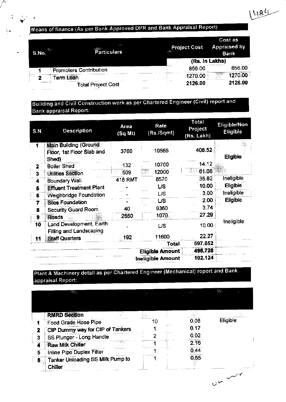# Means of finance (As per Bank Approved DPR and Bank Appraisal Report)

 $\blacktriangledown$ 

| 35.3<br>S.No. | 71<br><b>The Contract of Street</b><br>Particulars | <b>Project Cost</b><br>裸体 | Cost as<br><b>Appraised by</b><br><b>Bank</b> |
|---------------|----------------------------------------------------|---------------------------|-----------------------------------------------|
|               |                                                    |                           | (Rs. In Lakhs)                                |
|               | <b>Promoters Contribution</b>                      | 856.00                    | 856.00                                        |
|               | --------------------<br><b>Term Loan</b>           | 1270.00                   | 70.00<br><u>nggungan</u>                      |
|               | $1.11 - 1.1$<br>.<br><b>Total Project Cost</b>     | <br>2126.00<br>           | 2126.00                                       |

# Building and Civil Construction work as per Chartered Engineer (Civil) report and **Bank appraisal Report:**

| S.N          | <b>Description</b>                                          | Area<br>(Sq Mt) | Rate<br>(Rs./Sqmt)     | Total<br>Project<br>(Rs. Lakh) | Eligible/Non<br>Eligible |
|--------------|-------------------------------------------------------------|-----------------|------------------------|--------------------------------|--------------------------|
| 1            | Main Building (Ground<br>Floor, 1st Floor Slab and<br>Shed) | 3760            | 10865                  | 408.52                         | <b>Eligible</b>          |
| $\mathbf{2}$ | <b>Boiler Shed</b>                                          | 132             | 10700                  | 14.12                          |                          |
| з            | <b>Utilities Section</b>                                    | 509             | 12000                  | 61.08                          |                          |
| 4            | <b>Boundary Wall</b>                                        | <b>418 RMT</b>  | 8570                   | 35.82                          | Ineligible               |
| 6            | <b>Effluent Treatment Plant</b>                             |                 | <b>L/S</b>             | 10.00                          | <b>Eligible</b>          |
| 6            | Weighbridge Foundation                                      |                 | L/S                    | 3.00                           | Ineligible               |
| 7            | <b>Silos Foundation</b>                                     |                 | <b>L/S</b>             | 2.00                           | Eligible                 |
| 8            | <b>Security Guard Room</b>                                  | 40              | 9360                   | 3.74                           |                          |
| 9            | <b>Roads</b>                                                | 2550            | 1070                   | 27.29                          |                          |
| 10           | Land Development, Earth<br>Filling and Landscaping          |                 | US                     | 10.00                          | Ineligible               |
| 11           | <b>Staff Quarters</b>                                       | 192             | 11600                  | 22.27                          |                          |
|              |                                                             |                 | Total                  | 597.852                        |                          |
|              |                                                             |                 | <b>Eligible Amount</b> | 495.728                        |                          |
|              |                                                             |                 | Ineligible Amount      | 102.124                        |                          |

# Plant & Machinery detail as per Chartered Engineer (Mechanical) report and Bank appraisal Report:

| <b>RMRD Section</b><br>Eligible<br>0.08<br>Food Grade Hose Pipe<br>0.17<br>CIP Dummy way for CIP of Tankers<br>0.02<br>SS Plunger - Long Handle<br>3<br>2.16<br>Raw Milk Chiller<br>4<br>0,44<br>Inline Pipe Duplex Filter<br>5<br>0.55<br>Tanker Unloading SS Milk Pump to<br>6. | Chiller | w. | $\cdot$ x $\cdot$ | yå p | PF. |
|-----------------------------------------------------------------------------------------------------------------------------------------------------------------------------------------------------------------------------------------------------------------------------------|---------|----|-------------------|------|-----|
|                                                                                                                                                                                                                                                                                   |         |    |                   |      |     |
|                                                                                                                                                                                                                                                                                   |         |    |                   |      |     |
|                                                                                                                                                                                                                                                                                   |         |    |                   |      |     |
|                                                                                                                                                                                                                                                                                   |         |    |                   |      |     |
|                                                                                                                                                                                                                                                                                   |         |    |                   |      |     |
|                                                                                                                                                                                                                                                                                   |         |    |                   |      |     |
|                                                                                                                                                                                                                                                                                   |         |    |                   |      |     |
|                                                                                                                                                                                                                                                                                   |         |    |                   |      |     |
|                                                                                                                                                                                                                                                                                   |         |    |                   |      |     |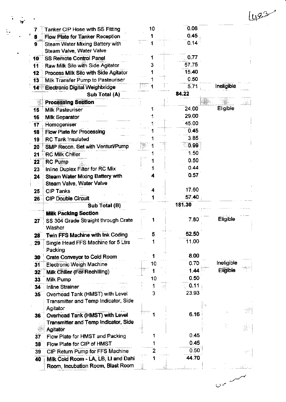|                 | Tanker CIP Hose with SS Fitting        | 10 | 0.08   |            |     |
|-----------------|----------------------------------------|----|--------|------------|-----|
| 8               | Flow Plate for Tanker Reception        |    | 0.45   |            |     |
| 9               | Steam Water Mixing Battery with        |    | 0.14   |            |     |
|                 | Steam Valve, Water Valve               |    |        |            |     |
| $10^{\circ}$    | <b>SS Remote Control Panel</b>         |    | 0.77   |            |     |
| 11              | Raw Milk Silo with Side Agitator       |    | 57.75  |            |     |
| 12              | Process Milk Silo with Side Agitator   |    | 15.40  |            |     |
| 13              | Milk Transfer Pump to Pasteuriser      |    | 0.50   |            |     |
|                 | 14 Electronic Digital Weighbridge      |    | 5.71   | Ineligible |     |
|                 | Sub Total (A)                          |    | 84.22  |            |     |
|                 | <b>Processing Section</b>              |    |        |            | ₫R. |
| 15              | <b>Milk Pasteuriser</b>                |    | 24.00  | Eligible   |     |
| 16              | <b>Milk Separator</b>                  |    | 29.00  |            |     |
| 17              | Homogeniser                            |    | 45,00  |            |     |
| 18              | <b>Flow Plate for Processing</b>       |    | 0.45   |            |     |
| 19              | <b>RC Tank Insulated</b>               |    | 3.85   |            |     |
| 20              | SMP Recon. Set with Venturi/Pump       | ļ₩ | 0.99   |            |     |
| 21              | <b>RC Milk Chiller</b>                 |    | 1.50   |            |     |
| 22              | <b>RC Pump</b>                         |    | 0.50   |            |     |
| 23              | Inline Duplex Filter for RC Mix        |    | 0.44   |            |     |
| 24              | <b>Steam Water Mixing Battery with</b> |    | 0.57   |            |     |
|                 | Steam Valve, Water Valve               |    |        |            |     |
| 25              | <b>CIP Tanks</b>                       |    | 17.60  |            |     |
| $26 -$          | <b>CIP Double Circuit</b>              |    | 57.40  |            |     |
|                 | Sub Total (B)                          |    | 181.30 |            |     |
|                 | <b>Milk Packing Section</b>            |    |        |            |     |
| 27              | SS 304 Grade Straight through Crate    |    | 7.80   | Eligible   |     |
|                 | Washer                                 |    |        |            |     |
| 28              | Twin FFS Machine with Ink Coding       | 5  | 52.50  |            |     |
| 29              | Single Head FFS Machine for 5 Ltrs     |    | 11.00  |            |     |
|                 | Packing                                |    |        |            |     |
| 30              | <b>Crate Conveyor to Cold Room</b>     |    | 8.00   |            |     |
| 31              | <b>Electronic Weigh Machine</b>        | 10 | 0.70   | Ineligible |     |
| 32 <sup>°</sup> | Milk Chiller (For Rechilling)          |    | 1.44   | Eligible   |     |
| 33              | Milk Pump                              | 10 | 0.50   |            |     |
| 34              | <b>Inline Strainer</b>                 |    | 0.11   |            |     |
| 35              | Overhead Tank (HMST) with Level        | 3  | 23.93  |            |     |
|                 | Transmitter and Temp Indicator, Side   |    |        |            |     |
|                 | Agitator                               |    |        |            |     |
| 36              | Overhead Tank (HMST) with Level        |    | 6.16   |            |     |
|                 | Transmitter and Temp Indicator, Side   |    |        |            |     |
|                 | <b>Agitator</b>                        |    |        | 72         | JÁ. |
| 37              | Flow Plate for HMST and Packing        |    | 0.45   |            |     |
| 38              | Flow Plate for CIP of HMST             |    | 0.45   |            |     |
| 39              | CIP Return Pump for FFS Machine        |    | 0.50   |            | igP |
| 40              | Milk Cold Room - LA, LB, LI and Dahi   |    | 44.70  |            |     |
|                 |                                        |    |        |            |     |
|                 | Room, Incubation Room, Blast Room      |    |        |            |     |

 $00<sub>0</sub>$ 

г.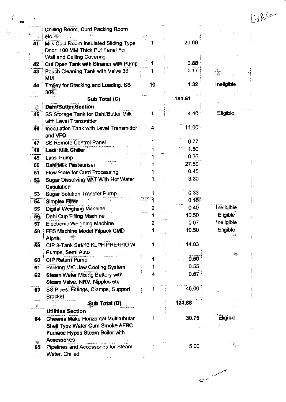|      | Chilling Room, Curd Packing Room                 |    |                |                 |
|------|--------------------------------------------------|----|----------------|-----------------|
|      | etc.                                             |    | 20.90          |                 |
| 41   | Milk Cold Room Insulated Sliding Type            |    |                |                 |
|      | Door, 100 MM Thick Puf Panel For                 |    |                |                 |
|      | Wall and Ceiling Covering                        |    | 0.88           |                 |
| 42   | Cut Open Tank with Strainer with Pump            |    |                |                 |
| 43   | Pouch Cleaning Tank with Valve 38                |    | 0.17           |                 |
|      | <b>MM</b>                                        |    |                |                 |
| 44   | Trolley for Stacking and Loading, SS             | 10 | 1.32           | Ineligible      |
|      | 304                                              |    | 181.51         |                 |
|      | Sub Total (C)                                    |    |                |                 |
|      | <b>Dahi/Butter Section</b>                       |    |                |                 |
| 45   | SS Storage Tank for Dahi/Butter Milk             |    | 4.40           | Eligible        |
|      | with Level Transmitter                           |    |                |                 |
| 46   | <b>Inoculation Tank with Level Transmitter</b>   |    | 11.00          |                 |
|      | and VFD                                          |    |                |                 |
| 47   | SS Remote Control Panel                          |    | 0.77           |                 |
| 48   | Lassi Milk Chiller                               |    | 1.50           |                 |
| 49   | Lassi Pump                                       |    | 0.36           |                 |
| 50   | <b>Dahi Milk Pasteuriser</b>                     |    | 27.50          |                 |
| 51   | Flow Plate for Curd Processing                   |    | 0.45           |                 |
| 52   | Sugar Dissolving VAT With Hot Water              |    | 3.30           |                 |
|      | Circulation                                      |    |                |                 |
| 53   | <b>Sugar Solution Transfer Pump</b>              |    | 0.33           |                 |
| 54   | Simplex Filter                                   |    | $0.15^{\circ}$ |                 |
| 55   | <b>Digital Weighing Machine</b>                  |    | 0.40           | Ineligible      |
| 56.  | Dahi Cup Filling Machine                         |    | 10.50          | Eligible        |
|      | <b>Electronic Weighing Machine</b>               |    | 0.07           | Ineligible      |
| 57   |                                                  |    | 10.50          | Eligible        |
| 58   | FFS Machine Model Filpack CMD                    |    |                |                 |
|      | <b>Alpha</b><br>CIP 3-Tank Set/10 KLPH PHE+PID W |    | 14.03          |                 |
| 59   |                                                  |    |                |                 |
|      | Pumps, Semi Auto                                 |    | 0.50           |                 |
| 60   | <b>CIP Return Pump</b>                           |    |                |                 |
| 61   | Packing M/C Jaw Cooling System                   |    | 0.55           |                 |
| 62   | Steam Water Mixing Battery with                  |    | 0.57           |                 |
|      | Steam Valve, NRV, Nipples etc.                   |    |                |                 |
| - 63 | SS Pipes, Fittings, Clamps, Support              |    | 45.00          |                 |
|      | Bracket                                          |    |                |                 |
|      | Sub Total (D)                                    |    | 131.88         |                 |
|      | <b>Utilities Section</b>                         |    |                |                 |
| 64   | Cheema Make Horizontal Multitubular              |    | 30.75          | <b>Eligible</b> |
|      | Shell Type Water Cum Smoke AFBC                  |    |                |                 |
|      | Furnace Hypac Steam Boiler with                  |    |                |                 |
|      | <b>Accessories</b>                               |    |                |                 |
|      |                                                  |    | 15.00          |                 |

 $\sim$ 

400

J.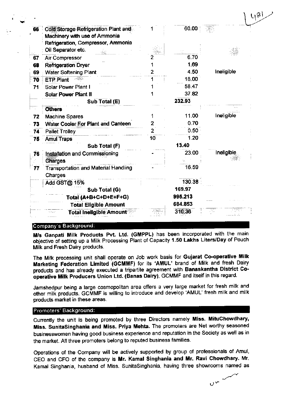|    |                                             |    |                   | $U_{\beta}$ |
|----|---------------------------------------------|----|-------------------|-------------|
| 66 | Cold Storage Refrigeration Plant and        |    | 60.00             |             |
|    | Machinery with use of Ammonia               |    |                   |             |
|    | Refrigeration, Compressor, Ammonia          |    |                   |             |
|    | Oil Separator etc.                          |    |                   |             |
| 67 | Air Compressor                              |    | 6.70              |             |
| 68 | <b>Refrigeration Dryer</b>                  |    | 1.69              |             |
| 69 | <b>Water Softening Plant</b>                |    | 4.50              | Ineligible  |
| 70 | <b>ETP Plant</b>                            |    | 18.00             |             |
| 71 | Solar Power Plant I                         |    | 58.47             |             |
|    | <b>Solar Power Plant II</b>                 |    | 37.82             |             |
|    | Sub Total (E)                               |    | 232.93            |             |
|    | <b>Others</b>                               |    |                   |             |
| 72 | <b>Machine Spares</b>                       |    | 11.00             | Ineligible  |
| 73 | Water Cooler For Plant and Canteen          | 2  | 0.70              |             |
| 74 | <b>Pallet Trolley</b>                       |    | 0.50 <sub>1</sub> |             |
| 75 | <b>Amul Traps</b>                           | 10 | 1.20              |             |
|    | Sub Total (F)                               |    | 13.40             |             |
| 76 | Installation and Commissioning              |    | 23.00             | Ineligible  |
|    | <b>Charges</b>                              |    |                   |             |
| 77 | <b>Transportation and Material Handling</b> |    | 16.59             |             |
|    | Charges                                     |    |                   |             |
|    | Add GST@ 15%                                |    | 130.38            |             |
|    | Sub Total (G)                               |    | 169.97            |             |
|    | Total (A+B+C+D+E+F+G)                       |    | 995.213           |             |
|    | <b>Total Eligible Amount</b>                |    | 684.853           |             |
|    | <b>Total Ineligible Amount</b>              |    | 310.36            |             |

#### Company's Background:

M/s Ganpati Milk Products Pvt. Ltd. (GMPPL) has been incorporated with the main objective of setting up a Milk Processing Plant of Capacity 1.50 Lakhs Liters/Day of Pouch Milk and Fresh Dairy products.

The Milk processing unit shall operate on Job work basis for Gujarat Co-operative Milk Marketing Federation Limited (GCMMF) for its 'AMUL' brand of Milk and fresh Dairy products and has already executed a tripartite agreement with Banaskantha District Cooperative Milk Producers Union Ltd. (Banas Dairy), GCMMF and itself in this regard.

Jamshedpur being a large cosmopolitan area offers a very large market for fresh milk and other milk products. GCMMF is willing to introduce and develop 'AMUL' fresh milk and milk products market in these areas.

#### Promoters' Background:

Currently the unit is being promoted by three Directors namely Miss. MituChowdhary, Miss. SunitaSinghania and Miss. Priya Mehta. The promoters are Net worthy seasoned businesswomen having good business experience and reputation in the Society as well as in the market. All three promoters belong to reputed business families.

Operations of the Company will be actively supported by group of professionals of Amul, CEO and CFO of the company is Mr. Kamal Singhania and Mr. Ravi Chowdhary. Mr. Kamal Singhania, husband of Miss. SunitaSinghania, having three showrooms named as

 $0<sup>2</sup>$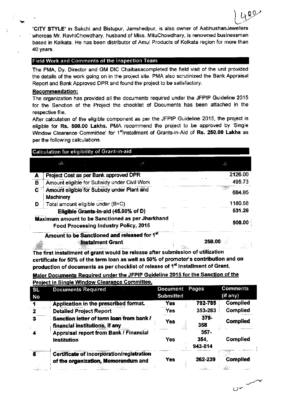'CITY STYLE' in Sakchi and Bistupur, Jamshedpur, is also owner of AabhushanJewellers whereas Mr. RavhiChowdhary, husband of Miss. MituChowdhary, is renowned businessman based in Kolkata. He has been distributor of Amul Products of Kolkata region for more than 40 years.

489

 $0 - 1$ 

#### **Field Work and Comments of the Inspection Team**

The PMA, Dy. Director and GM DIC Chaibasacompleted the field visit of the unit provided the details of the work going on in the project site. PMA also scrutinized the Bank Appraisal Report and Bank Approved DPR and found the project to be satisfactory.

#### **Recommendation:**

The organization has provided all the documents required under the JFPIP Guideline 2015 for the Sanction of the Project the checklist of Documents has been attached in the respective file.

After calculation of the eligible component as per the JFPIP Guideline 2015, the project is eligible for Rs. 500.00 Lakhs. PMA recommend the project to be approved by 'Single Window Clearance Committee' for 1<sup>st</sup>Installment of Grants-in-Aid of Rs. 250.00 Lakhs as per the following calculations.

|   | Calculation for eligibility of Grant-in-aid                                               |         |
|---|-------------------------------------------------------------------------------------------|---------|
|   |                                                                                           |         |
|   | Project Cost as per Bank approved DPR                                                     | 2126.00 |
| в | Amount eligible for Subsidy under Civil Work                                              | 495.73  |
| C | Amount eligible for Subsidy under Plant and<br><b>Machinery</b>                           | 684.85  |
| D | Total amount eligible under $(B+C)$                                                       | 1180.58 |
|   | Eligible Grants-in-aid (45.00% of D)                                                      | 531.26  |
|   | Maximum amount to be Sanctioned as per Jharkhand<br>Food Processing Industry Policy, 2015 | 500.00  |
|   | Amount to be Sanctioned and released for 1st<br><b>instalment Grant</b>                   | 250.00  |

The first installment of grant would be release after submission of utilization certificate for 50% of the term loan as well as 50% of promoter's contribution and on production of documents as per checklist of release of 1<sup>st</sup> Installment of Grant.

Major Documents Required under the JFPIP Guideline 2015 for the Sanction of the **Project in Single Window Clearance Committee.** 

| <b>SL</b><br>No           | <b>Documents Required</b>                                                        | <b>Document</b><br><b>Submitted</b> | Pages                      | <b>Comments</b><br>(if any)                                                 |
|---------------------------|----------------------------------------------------------------------------------|-------------------------------------|----------------------------|-----------------------------------------------------------------------------|
|                           | Application in the prescribed format.                                            | Yes                                 | 792-785                    | <b>Complied</b>                                                             |
|                           | <b>Detailed Project Report</b>                                                   | Yes                                 | 353-263                    | <b>Complied</b>                                                             |
| з                         | Sanction letter of term loan from bank /<br>financial institutions, if any       | Yes                                 | 379-<br>358                | <b>Complied</b>                                                             |
|                           | Appraisal report from Bank / Financial<br><b>Institution</b>                     | Yes                                 | $357 -$<br>354.<br>943-814 | <b>Complied</b>                                                             |
| $\mathbf{g}^{\circ\circ}$ | Certificate of incorporation/registration<br>of the organization, Memorandum and | Yes                                 | 262-239<br>n with          | <b>Complied</b><br>$\mathcal{A}_{\alpha}^{(k)}\mathcal{A}_{\alpha}^{(k+1)}$ |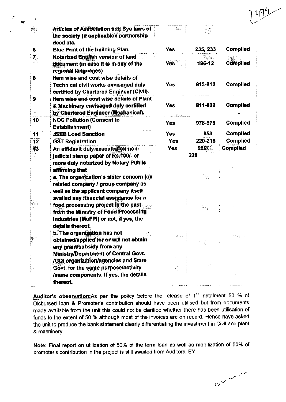|                  |                                                                                   | 도움했        |          |                 |
|------------------|-----------------------------------------------------------------------------------|------------|----------|-----------------|
|                  | <b>Articles of Association and Bye laws of</b>                                    |            | IB.      |                 |
|                  | the society (if applicable)/ partnership<br>deed etc.                             |            |          |                 |
| 6                | Blue Print of the building Plan.                                                  | Yes        | 235, 233 | Complied        |
|                  |                                                                                   |            |          |                 |
|                  | <b>Notarized English version of land</b><br>document (in case it is in any of the |            | 186-12   | Complied        |
|                  | regional languages)                                                               | Yes        |          |                 |
|                  | Item wise and cost wise details of                                                |            |          |                 |
| 8                | Technical civil works envisaged duly                                              | Yes        | 813-812  | Complied        |
|                  | certified by Chartered Engineer (Civil).                                          |            |          |                 |
|                  | Item wise and cost wise details of Plant                                          |            |          |                 |
| $\boldsymbol{9}$ | & Machinery envisaged duly certified                                              | <b>Yes</b> | 811-802  | <b>Complied</b> |
|                  | by Chartered Engineer (Mechanical).                                               |            |          |                 |
| 10               | <b>NOC Pollution (Consent to</b>                                                  |            |          |                 |
|                  | <b>Establishment)</b>                                                             | <b>Yes</b> | 978-975  | <b>Complied</b> |
|                  | <b>JSEB Load Sanction</b>                                                         | <b>Yes</b> | 953      | <b>Complied</b> |
| 11               |                                                                                   | <b>Yes</b> | 220-218  | Complied        |
| 12               | <b>GST Registration</b>                                                           | <b>Yes</b> | 226+     | <b>Complied</b> |
| 13               | An affidavit duly executed on non-                                                |            | 225      |                 |
|                  | judicial stamp paper of Rs.100/- or                                               |            |          |                 |
|                  | more duly notarized by Notary Public                                              |            |          |                 |
|                  | affirming that                                                                    |            |          |                 |
|                  | a. The organization's sister concern (s)/                                         |            |          |                 |
|                  | related company / group company as                                                |            |          |                 |
|                  | well as the applicant company itself                                              |            |          |                 |
|                  | availed any financial assistance for a                                            |            |          |                 |
|                  | food processing project in the past                                               |            |          |                 |
|                  | from the Ministry of Food Processing                                              |            |          |                 |
|                  | Industries (MoFPI) or not, if yes, the                                            |            |          |                 |
|                  | details thereof.                                                                  |            |          |                 |
|                  | b. The organization has not                                                       | 基金         |          |                 |
|                  | obtained/applied for or will not obtain                                           |            |          |                 |
|                  | any grant/subsidy from any                                                        |            |          |                 |
|                  | <b>Ministry/Department of Central Govt.</b>                                       |            |          |                 |
|                  | /GOI organization/agencies and State                                              |            |          |                 |
|                  | Govt. for the same purpose/activity                                               |            |          |                 |
|                  | Isame components. If yes, the details                                             |            |          |                 |
|                  | thereof.                                                                          |            |          |                 |

Auditor's observation:As per the policy before the release of 1<sup>st</sup> instalment 50 % of Disbursed Ioan & Promoter's contribution should have been utilised but from documents made available from the unit this could not be clarified whether there has been utilisation of funds to the extent of 50 % although most of the invoices are on record. Hence have asked the unit to produce the bank statement clearly differentiating the investment in Civil and plant & machinery.

Note: Final report on utilization of 50% of the term loan as well as mobilization of 50% of promoter's contribution in the project is still awaited from Auditors, EY.

 $e^{x}$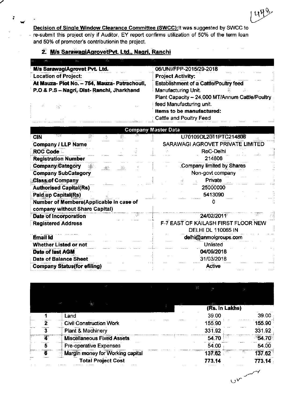Decision of Single Window Clearance Committee (SWCC): It was suggested by SWCC to re-submit this project only if Auditor, EY report confirms utilization of 50% of the term loan and 50% of promoter's contributionin the project.

i.<br>alik

# 2. M/s SarawagiAgrovetPvt. Ltd., Nagri, Ranchi

Ļ.

l,

| $\mathcal{B}\in\mathcal{C}$ | <b>Test</b>                         |                               | ÷. | i yn                                          | the grant                                       |  |
|-----------------------------|-------------------------------------|-------------------------------|----|-----------------------------------------------|-------------------------------------------------|--|
|                             |                                     | M/s SarawagiAgrovet Pvt. Ltd. |    |                                               | 06/UNI/FPP-2015/29-2018                         |  |
|                             | <b>Location of Project:</b>         |                               |    |                                               | <b>Project Activity:</b>                        |  |
|                             |                                     |                               |    | At Mauza- Plot No. - 754, Mauza- Patrachouli, | <b>Establishment of a Cattle/Poultry feed</b>   |  |
|                             |                                     |                               |    | P.O.& P.S - Nagri, Dist-Ranchi, Jharkhand     | <b>Manufacturing Unit</b><br>그는 아이들 대석 이 아이가 많은 |  |
|                             |                                     |                               |    |                                               | Plant Capacity - 24,000 MT/Annum Cattle/Poultry |  |
|                             | 18 - 2001년 1월 10일 - 1월 10일 - 1월 10일 |                               |    | <b>COL</b>                                    | feed Manufacturing unit.                        |  |
|                             |                                     |                               |    |                                               | Items to be manufactured:                       |  |
|                             |                                     |                               |    | . Vite                                        | Cattle and Poultry Feed                         |  |

| <b>Company Master Data</b>              |                                     |
|-----------------------------------------|-------------------------------------|
| ਬਲ<br><b>CIN</b><br>ιğ.                 | U70109DL2011PTC214806               |
| <b>Company / LLP Name</b>               | SARAWAGI AGROVET PRIVATE LIMITED    |
| <b>ROC Code</b>                         | RoC-Delhi                           |
| <b>Registration Number</b>              | 214806                              |
| <b>Company Category</b><br>哪个<br>45     | Company limited by Shares           |
| <b>Company SubCategory</b>              | Non-govt company                    |
| <b>Class of Company</b>                 | Private                             |
| <b>Authorised Capital(Rs)</b>           | 25000000                            |
| <b>Paidap Capital(Rs)</b>               | 5413090                             |
| Number of Members(Applicable in case of |                                     |
| company without Share Capital)          |                                     |
| Date of Incorporation                   | 24/02/2011                          |
| <b>Registered Address</b>               | F-7 EAST OF KAILASH FIRST FLOOR NEW |
|                                         | <b>DELHI DL 110065 IN</b>           |
| <b>Email Id</b>                         | delhi@anmolgroups.com               |
| Whether Listed or not                   | <b>Unlisted</b>                     |
| Date of last AGM                        | 04/09/2018                          |
| <b>Date of Balance Sheet</b>            | 31/03/2018                          |
| <b>Company Status (for efiling)</b>     | Active                              |

|   |                                   | K                        |               |
|---|-----------------------------------|--------------------------|---------------|
|   |                                   | 3. 参次。<br>(Rs. In Lakhs) |               |
|   | Land                              | 39.00                    | 39.00         |
| Ż | <b>Civil Construction Work</b>    | 155,90                   | 155.90        |
| 3 | Plant & Machinery                 | 331.92                   | 331.92        |
| T | <b>Miscellaneous Fixed Assets</b> | 54.70                    | 54.70         |
| 5 | Pre-operative Expenses            | 54.00                    | 54.00         |
| Ŧ | Margin money for Working capital  | 137.62                   | 137.62<br>×ÿ: |
|   | <b>Total Project Cost</b>         | 773.14                   | 773.14        |

 $C_{\alpha}$ 

1498

 $\bar{\mathcal{A}}$ 

 $\bar{z}$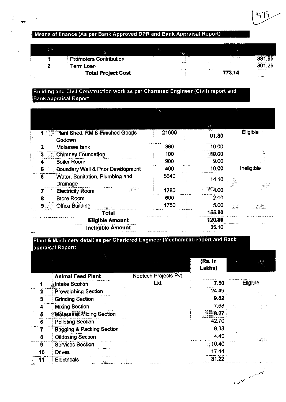# Means of finance (As per Bank Approved DPR and Bank Appraisal Report)

| 网络之           | ____<br>iä.                    | <b>1999</b>         | $\mathcal{L}_{\text{max}}$ |                            |                   |
|---------------|--------------------------------|---------------------|----------------------------|----------------------------|-------------------|
|               | <b>Promoters Contribution</b>  |                     |                            | 755                        | 381.85            |
|               | .<br>Гегт Loan                 |                     |                            |                            | 391.29            |
| $\cdots$<br>. | .<br><b>Total Project Cost</b> |                     |                            | .<br>773.14                |                   |
| Service Ave.  | <b>STEEDS MARK  JE</b><br>.    | <b>ALC: YES AND</b> | $$                         | $\cdots\qquad\cdots\qquad$ | <b>STATISTICS</b> |

## Building and Civil Construction work as per Chartered Engineer (Civil) report and **Bank appraisal Report:**

|   | Plant Shed, RM & Finished Goods<br>Godown   | 21600 | 91.80    | Eligible          |
|---|---------------------------------------------|-------|----------|-------------------|
|   | Molasses tank                               | 360   | 10.00    |                   |
|   | <b>Chimney Foundation</b>                   | 100   | $-10.00$ |                   |
|   | <b>Boiler Room</b>                          | 900   | 9.00     |                   |
| 5 | Boundary Wall & Prior Development           | 400   | 10.00    | <b>Ineligible</b> |
| 6 | Water, Sanitation, Plumbing and<br>Drainage | 5640  | 14.10    |                   |
|   | <b>Electricity Room</b>                     | 1280  | 4.00     |                   |
|   | <b>Store Room</b>                           | 600   | 2.00     |                   |
|   | <b>Office Building</b>                      | 1750  | 5.00     |                   |
|   | <b>Total</b>                                |       | 155.90   |                   |
|   | <b>Eligible Amount</b>                      |       | 120.80   |                   |
|   | <b>Ineligible Amount</b>                    |       | 35.10    |                   |

## Plant & Machinery detail as per Chartered Engineer (Mechanical) report and Bank appraisal Report:

|    |                                      |                       | (Rs. In<br>Lakhs) | 计设计      |
|----|--------------------------------------|-----------------------|-------------------|----------|
|    | <b>Animal Feed Plant</b>             | Neotech Projects Pvt. |                   |          |
|    | Intake Section                       | Ltd.                  | 7.50              | Eligible |
|    | <b>Preweighing Section</b>           |                       | 24.49             |          |
| 3  | <b>Grinding Section</b>              |                       | 9.82              |          |
|    | <b>Mixing Section</b>                |                       | 7.68              |          |
|    | <b>Molassess Mixing Section</b>      |                       | 8.27              |          |
| 6  | <b>Pelleting Section</b>             |                       | 42.70             |          |
|    | <b>Bagging &amp; Packing Section</b> |                       | 9.33              |          |
| 8  | <b>Oildosing Section</b>             |                       | 4.40              | -3245    |
| 9  | <b>Services Section</b>              |                       | 10.40             |          |
| 10 | <b>Drives</b>                        |                       | 17.44             |          |
| 11 | Electricals                          |                       | 31.22             |          |

 $O\left(\frac{1}{\sqrt{2}}\right)$ 

Կጉ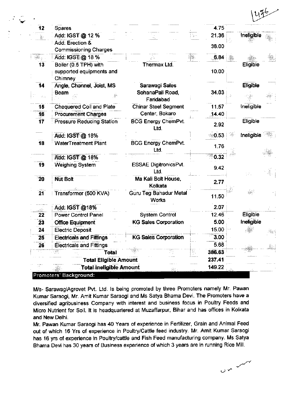| 475 |  |
|-----|--|
|     |  |

| 12              | <b>Spares</b>                                            |                               | 4.75              |                 |  |
|-----------------|----------------------------------------------------------|-------------------------------|-------------------|-----------------|--|
| 농               | Add: IGST @ 12 %                                         |                               | 21.36<br>ilige er | Ineligible      |  |
|                 | Add: Erection &                                          |                               | 38.00             |                 |  |
|                 | <b>Commissioning Charges</b>                             |                               |                   |                 |  |
| $\frac{1}{2}$   | Add: IGST:@ 18%                                          |                               | зBр.<br>6.84      |                 |  |
| 13              | Boiler (0.5 TPH) with                                    | Thermax Ltd.                  |                   | Eligible        |  |
|                 | supported equipments and                                 |                               | 10.00             |                 |  |
|                 | Chimney                                                  |                               |                   |                 |  |
| 14              | Angle, Channel, Joist, MS                                | Sarawagi Sales                |                   | <b>Eligible</b> |  |
| AG.             | Beam                                                     | SohanaPali Road,<br>Faridabad | 34.03             |                 |  |
| 15              | Chequered Coil and Plate                                 | <b>Chinar Steel Segment</b>   | 11.57             | Ineligible      |  |
| 16              | <b>Procurement Charges</b>                               | Center, Bokaro                | 14.40             |                 |  |
| 17              | <b>Pressure Reducing Station</b>                         | <b>BCG Energy ChemPvt.</b>    |                   | Eligible        |  |
|                 |                                                          | Ltd.                          | 2.92              |                 |  |
|                 | Add: IGST @ 18%                                          |                               | 0.53              | Ineligible      |  |
| $\overline{18}$ | <b>WaterTreatment Plant</b>                              | <b>BCG Energy ChemPvt.</b>    |                   |                 |  |
|                 |                                                          | Ltd.                          | 1.76              |                 |  |
|                 | Add: IGST @ 18%                                          |                               | 0.32              |                 |  |
| 19              | Weighing System                                          | <b>ESSAE DigitronicsPvt.</b>  | 9.42              |                 |  |
|                 |                                                          | Ltd.                          |                   |                 |  |
| 20              | <b>Nut Bolt</b>                                          | Ma Kali Bolt House,           | 2.77              |                 |  |
|                 |                                                          | Kolkata                       |                   |                 |  |
| 21              | Transformer (500 KVA)                                    | <b>Guru Teg Bahadur Metal</b> | 11.50             |                 |  |
|                 |                                                          | <b>Works</b>                  |                   |                 |  |
|                 | Add: IGST @18%                                           |                               | 2.07              |                 |  |
| 22              | <b>Power Control Panel</b>                               | <b>System Control</b>         | 12.46             | Eligible        |  |
| 23              | <b>Office Equipment</b>                                  | <b>KG Sales Corporation</b>   | 5.00              | Ineligible      |  |
| 24              | <b>Electric Deposit</b>                                  |                               | 15.00             |                 |  |
| 25              | <b>Electricals and Fittings</b>                          | <b>KG Sales Corporation</b>   | 3.00<br>kana a    |                 |  |
| 26              | <b>Electricals and Fittings</b>                          | IJ                            | 5.68              |                 |  |
|                 | 鄝<br><b>Total</b>                                        |                               | 386.63<br>製       |                 |  |
|                 | <b>Total Eligible Amount</b>                             |                               | 237.41<br>.       |                 |  |
|                 | <b>Total Ineligible Amount</b><br>Promoters' Background: | XX.                           | 149.22            |                 |  |

M/s- SarawagiAgrovet Pvt. Ltd. Is being promoted by three Promoters namely Mr. Pawan Kumar Saraogi, Mr. Amit Kumar Saraogi and Ms Satya Bhama Devi. The Promoters have a diversified agribusiness Company with interest and business focus in Poultry Feeds and Micro Nutrient for Soil. It is headquartered at Muzaffarpur, Bihar and has offices in Kolkata and New Delhi.

Mr. Pawan Kumar Saraogi has 40 Years of experience in Fertilizer, Grain and Animal Feed out of which 16 Yrs of experience in Poultry/Cattle feed industry. Mr. Amit Kumar Saraogi has 16 yrs of experience in Poultry/cattle and Fish Feed manufacturing company. Ms Satya Bhama Devi has 30 years of Business experience of which 3 years are in running Rice Mill.

 $\sim$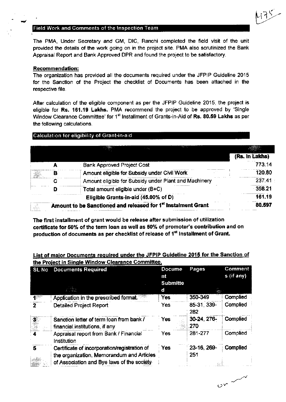#### **Field Work and Comments of the Inspection Team**

The PMA, Under Secretary and GM, DIC, Ranchi completed the field visit of the unit provided the details of the work going on in the project site. PMA also scrutinized the Bank Appraisal Report and Bank Approved DPR and found the project to be satisfactory.

#### **Recommendation:**

The organization has provided all the documents required under the JFPIP Guideline 2015 for the Sanction of the Project the checklist of Documents has been attached in the respective file.

After calculation of the eligible component as per the JFPIP Guideline 2015, the project is eligible for Rs. 161.19 Lakhs. PMA recommend the project to be approved by 'Single Window Clearance Committee' for 1<sup>st</sup> Installment of Grants-in-Aid of Rs. 80.59 Lakhs as per the following calculations.

#### Calculation for eligibility of Grant-in-aid

|   | <b>PARK AND</b>                                                           |                |
|---|---------------------------------------------------------------------------|----------------|
|   |                                                                           | (Rs. In Lakhs) |
|   | <b>Bank Approved Project Cost</b>                                         | 773.14         |
| в | Amount eligible for Subsidy under Civil Work                              | 120.80         |
|   | Amount eligible for Subsidy under Plant and Machinery                     | 237.41         |
|   | Total amount eligible under (B+C)                                         | $-358.21$      |
|   | Eligible Grants-in-aid (45.00% of D)                                      | 161.19         |
|   | Amount to be Sanctioned and released for 1 <sup>st</sup> Instalment Grant | 80.597         |

The first installment of grant would be release after submission of utilization certificate for 50% of the term loan as well as 50% of promoter's contribution and on production of documents as per checklist of release of 1<sup>st</sup> Installment of Grant.

#### List of major Documents required under the JFPIP Guideline 2015 for the Sanction of the Project in Single Window Clearance Committee.

| <b>SL No</b> | <b>Documents Required</b>                                                                                                               | <b>Docume</b><br>nt<br><b>Submitte</b> | Pages               | Comment<br>s (if any) |
|--------------|-----------------------------------------------------------------------------------------------------------------------------------------|----------------------------------------|---------------------|-----------------------|
|              |                                                                                                                                         | d                                      |                     |                       |
| gung         | Application in the prescribed format.                                                                                                   | Yes                                    | 350-349             | Complied              |
|              | <b>Detailed Project Report</b>                                                                                                          | Yes                                    | 85-31, 339-<br>282  | Complied              |
| an an        | Sanction letter of term loan from bank /<br>financial institutions, if any                                                              | Yes                                    | 30-24, 276-<br>.270 | Complied              |
|              | Appraisal report from Bank / Financial<br>Institution                                                                                   | Yes                                    | 281-277             | Complied              |
| 5            | Certificate of incorporation/registration of<br>the organization, Memorandum and Articles<br>of Association and Bye laws of the society | Yes                                    | 23-16, 269-<br>251  | Complied              |

 $\sim$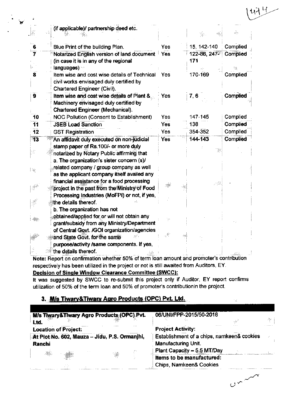|       | (if applicable)/ partnership deed etc.                                           |            |              |          |
|-------|----------------------------------------------------------------------------------|------------|--------------|----------|
|       |                                                                                  |            | ض :          | Æ.       |
| 6     | Blue Print of the building Plan.                                                 | Yes        | 15, 142-140  | Complied |
| 7     | Notarized English version of land document                                       | <b>Yes</b> | 122-86, 247- | Complied |
|       | (in case it is in any of the regional                                            |            | 171          |          |
|       | languages) ··                                                                    |            |              |          |
| 8     | Item wise and cost wise details of Technical                                     | Yes        | 170-169      | Complied |
|       | civil works envisaged duly certified by                                          |            |              |          |
|       | Chartered Engineer (Civil).                                                      |            |              |          |
| 9     | Item wise and cost wise details of Plant &                                       | Yes        | 7, 6         | Complied |
|       | Machinery envisaged duly certified by<br><b>Chartered Engineer (Mechanical).</b> |            |              |          |
| 10    | NOC Pollution (Consent to Establishment)                                         | Yes        | 147-145      | Complied |
| 11    | <b>JSEB Load Sanction</b>                                                        | Yes        | 138          | Complied |
| 12    | <b>GST Registration</b>                                                          | Yes        | 354-352      | Complied |
| $-13$ | An affidavit duly executed on non-judicial                                       | Yes        | 144-143      | Complied |
|       | stamp paper of Rs. 100/- or more duly                                            |            |              |          |
|       | notarized by Notary Public affirming that                                        |            |              |          |
|       | a. The organization's sister concern (s)/                                        |            |              |          |
| l ag  | related company / group company as well                                          |            |              |          |
|       | as the applicant company itself availed any                                      |            |              |          |
|       | financial assistance for a food processing                                       |            |              |          |
|       | project in the past from the Ministry of Food                                    |            |              |          |
|       | Processing Industries (MoFPI) or not, if yes,                                    |            |              |          |
|       | the details thereof.                                                             |            |              |          |
|       | b. The organization has not                                                      |            |              |          |
|       | obtained/applied for or will not obtain any                                      |            |              |          |
|       | grant/subsidy from any Ministry/Department                                       |            |              |          |
|       | of Central Goyt. /GOI organization/agencies<br>and State Govt. for the same      |            |              |          |
|       | purpose/activity /same components. If yes,                                       |            |              |          |
|       | the details thereof.                                                             |            |              |          |
|       |                                                                                  |            |              |          |

Note: Report on confirmation whether 50% of term loan amount and promoter's contribution respectively has been utilized in the project or not is still awaited from Auditors, EY.

#### Decision of Single Window Clearance Committee (SWCC):

It was suggested by SWCC to re-submit this project only if Auditor, EY report confirms utilization of 50% of the term loan and 50% of promoter's contributionin the project.

## 3. M/s Tiwary&Tiwary Agro Products (OPC) Pvt. Ltd.

| M/s Tiwary&Tiwary Agro Products (OPC) Pvt.<br>Ltd.                                                                                                                                                                                                                                                                                                                                 | 06/UNI/FPP-2015/50-2018<br>- 1940 -<br>-ja       |
|------------------------------------------------------------------------------------------------------------------------------------------------------------------------------------------------------------------------------------------------------------------------------------------------------------------------------------------------------------------------------------|--------------------------------------------------|
| <b>Location of Project:</b>                                                                                                                                                                                                                                                                                                                                                        | <b>Project Activity:</b>                         |
| At Plot No. 602, Mauza - Jidu, P.S. Ormanihi,                                                                                                                                                                                                                                                                                                                                      | Establishment of a chips, namkeen& cookies<br>B. |
| Ranchi                                                                                                                                                                                                                                                                                                                                                                             | Manufacturing Unit.                              |
| 34<br>$\frac{1}{\sqrt{2}}\sum_{i=1}^{n} \frac{1}{\sqrt{2}}\sum_{i=1}^{n} \frac{1}{\sqrt{2}}\sum_{i=1}^{n} \frac{1}{\sqrt{2}}\sum_{i=1}^{n} \frac{1}{\sqrt{2}}\sum_{i=1}^{n} \frac{1}{\sqrt{2}}\sum_{i=1}^{n} \frac{1}{\sqrt{2}}\sum_{i=1}^{n} \frac{1}{\sqrt{2}}\sum_{i=1}^{n} \frac{1}{\sqrt{2}}\sum_{i=1}^{n} \frac{1}{\sqrt{2}}\sum_{i=1}^{n} \frac{1}{\sqrt{2}}\sum_{i=1}^{n}$ | Plant Capacity - 5.5 MT/Day                      |

 $v^{x}$ 

 $\gamma_{\rm IR}$ 

너브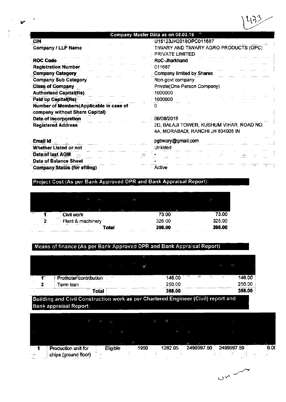

# Company Master Data as on 08.02.19

U15123JH2018OPC011687

i.

 $\mathbb{R}^2$ 

| ×  |           |        |           |                 |
|----|-----------|--------|-----------|-----------------|
| Ń. | MARANTH A | $\sim$ | · www.www | <b>COMMA</b> CO |
|    |           | ı<br>υ | ı<br>ъ    | m               |

 $\sim$ 

| <b>Company / LLP Name</b>               | TIWARY AND TIWARY AGRO PRODUCTS (OPC)                                         |
|-----------------------------------------|-------------------------------------------------------------------------------|
|                                         | PRIVATE LIMITED                                                               |
| <b>ROC Code</b>                         | RoC-Jharkhand                                                                 |
| <b>Registration Number</b>              | 011687                                                                        |
| <b>Company Category</b>                 | Company limited by Shares                                                     |
| <b>Company Sub Category</b>             | Non-govt company                                                              |
| <b>Class of Company</b>                 | Private(One Person Company)                                                   |
| <b>Authorised Capital(Rs)</b>           | 1000000                                                                       |
| Paid up Capital(Rs)                     | 1000000                                                                       |
| Number of Members(Applicable in case of |                                                                               |
| company without Share Capital)          |                                                                               |
| Date of Incorporation                   | 06/08/2018                                                                    |
| <b>Registered Address</b>               | 2D, BALAJI TOWER, KUSHUM VIHAR, ROAD NO.<br>4A, MORABADI, RANCHI JH 834008 IN |
|                                         |                                                                               |
| Email Id                                | pgtiwary@gmail.com                                                            |
| Whether Listed or not                   | Unlisted                                                                      |
| Date of last AGM                        |                                                                               |
| <b>Date of Balance Sheet</b>            |                                                                               |
| <b>Company Status (for efiling)</b>     | ЧE.<br>Active                                                                 |

# Project Cost (As per Bank Approved DPR and Bank Appraisal Report):

J.

alia.<br>Alian

|                       | <b>i</b>                                                                                          | -28                                    | <b>Car</b><br>. .                                                             |
|-----------------------|---------------------------------------------------------------------------------------------------|----------------------------------------|-------------------------------------------------------------------------------|
| <b>Sept.</b><br>ilian | ш,<br>$\sim$<br>$\cdots$<br>Civil work                                                            | 22<br>$\cdots$<br>73.00                | <br>w.<br>æ.<br>חה גי                                                         |
| $\cdots$<br>          | <br><br>-------<br>Plant & machinery                                                              | 325.00                                 | $\cdots$<br>325.00                                                            |
| $\cdots$<br>.<br>     | $\sim$<br>$\cdots$<br><br>------<br>$\sim$<br>'otal<br>$\cdots$<br>$\cdots$<br>.<br>.<br>$\cdots$ | <br>.<br>ш<br><br><br><br>************ | <br>חה הם<br>$\cdots$<br>the state and property to consider the pro-<br>.<br> |

# Means of finance (As per Bank Approved DPR and Bank Appraisal Report)

|        |                                |                 |         |    |        |    |      |      |              | $\cdots$ |        |
|--------|--------------------------------|-----------------|---------|----|--------|----|------|------|--------------|----------|--------|
|        |                                |                 | $\cdot$ | -- |        |    |      |      | .31          | ્રાચ     |        |
|        | Promoter contribution          | 一、森林            |         |    | 148.00 | 73 | zilv | - 94 | and the pro- |          | 148.00 |
| $\sim$ | 1.111<br>$\cdots$<br>Term Ioan | $\cdot$ $\cdot$ |         |    | 250.00 |    |      |      |              |          | 250.00 |
|        | rrpgar<br><b>AND</b><br>'otal  |                 |         |    | 398.00 |    |      | .    |              |          | 398.00 |

### Building and Civil Construction work as per Chartered Engineer (Civil) report and **Bank appraisal Report:**

| $\mathbb{Z}^m$<br>-35<br>. 次<br>32.<br>$\sim$ $>$<br>- 38<br>$\overline{\phantom{a}}$<br><b>START OF</b><br>∵ŵ<br>US.<br>2499997.50<br>2499997.50<br>1950<br>Production unit for<br>1282.05<br>Eligible | $\cdots$ | chips (ground floor) | $\cdot$ . |  |  |  |  | may a<br>n. |
|---------------------------------------------------------------------------------------------------------------------------------------------------------------------------------------------------------|----------|----------------------|-----------|--|--|--|--|-------------|
|                                                                                                                                                                                                         |          |                      |           |  |  |  |  | 0.06        |
|                                                                                                                                                                                                         |          |                      |           |  |  |  |  |             |
|                                                                                                                                                                                                         |          |                      |           |  |  |  |  |             |
|                                                                                                                                                                                                         |          |                      |           |  |  |  |  |             |

 $C_{\infty}$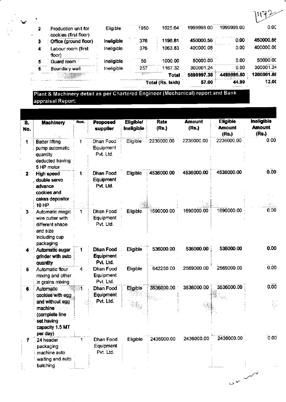|   |                                                |            |                | Total (Rs. lakh) | 57.00      | 44.99      | 12.00      |
|---|------------------------------------------------|------------|----------------|------------------|------------|------------|------------|
|   |                                                |            | <b>SERVICE</b> | <b>Total</b>     | 5699997.38 | 4499995.50 | 1200001.88 |
| 6 | Boundary wall                                  | Ineligible | 257            | 1167.32          | 300001.24  | 0.00       | 300001.24  |
| 5 | Guard room                                     | ineligible | 50             | 1000.00          | 50000.00   | 0.00       | 50000.00   |
| 4 | Labour room (first<br>floor)                   | Ineligible | 376            | 1063.83          | 400000.08  | 0.00       | 400000.08  |
| з | cookies (first floor)<br>Office (ground floor) | Ineligible | 376            | 1196.81          | 450000.56  | 0.00       | 450000.56  |
| 2 | Production unit for                            | Eligible   | 1950           | 1025.64          | 1999998.00 | 1999998.00 | 0.00       |

Plant & Machinery detail as per Chartered Engineer (Mechanical) report and Bank appraisal Report:

✔

| $\overline{\mathbf{s}}$ .<br>No. | <b>Machinery</b>                                                                                                | Nos.       | Proposed<br>supplier                       | <b>Eligible/</b><br><b>Ineligible</b> | Rate<br>(Rs.) | <b>Amount</b><br>(Rs.) | <b>Eligible</b><br><b>Amount</b><br>(Rs.) | <b>Ineligible</b><br><b>Amount</b><br>(Rs.) |
|----------------------------------|-----------------------------------------------------------------------------------------------------------------|------------|--------------------------------------------|---------------------------------------|---------------|------------------------|-------------------------------------------|---------------------------------------------|
| 1                                | <b>Batter lifting</b><br>pump automatic<br>quantity<br>deducted having<br>5 HP motor                            | 1          | Dhan Food<br>Equipment<br>Pvt. Ltd.        | Eligible                              | 2236000.00    | 2236000.00             | 2236000.00                                | 0.00                                        |
| 2                                | <b>High speed</b><br>double servo<br>advance<br>cookies and<br>cakes depositor<br><b>10 HP</b>                  | 1          | Dhan Food<br>Equipment<br>Pvt. Ltd.        | Eligible                              | 4536000.00    | 4536000.00             | 4536000.00                                | 0.00                                        |
| 3                                | Automatic magic<br>wire cutter with<br>different shape<br>and size<br>including cup<br>packaging                | 1          | Dhan Food<br>Equipment<br>Pvt. Ltd.        | Eligible                              | 1690000.00    | 1690000.00             | 1690000.00                                | 0.00                                        |
| 4                                | Automatic sugar<br>grinder with auto<br>quantity                                                                |            | Dhan Food<br>Equipment<br>Pvt. Ltd.        | Eligible                              | 536000.00     | 536000.00              | 536000.00                                 | 0.00                                        |
| 5                                | Automatic flour<br>mixing and other<br>in grains mixing                                                         | 4          | Dhan Food<br>Equipment<br>Pvt. Ltd.        | Eligible                              | 642250.00     | 2569000.00             | 2569000.00                                | 0.00                                        |
| 6                                | Automatic<br>cookies with egg<br>and without egg<br>machine.<br>(complete line<br>set having<br>capacity 1.5 MT | <b>RG1</b> | Dhan Food<br><b>Equipment</b><br>Pvt. Ltd. | Eligible                              | 3536000.00    | 3536000.00             | 3536000.00                                | 0.00                                        |
|                                  | per day)<br>24 header<br>packaging<br>machine auto<br>waiting and auto<br>batching                              | 1          | Dhan Food<br>Equipment<br>Pvt. Ltd.        | Eligible                              | 2436000.00    | 2436000.00             | 2436000.00                                | 0.00                                        |

 $25 - 12$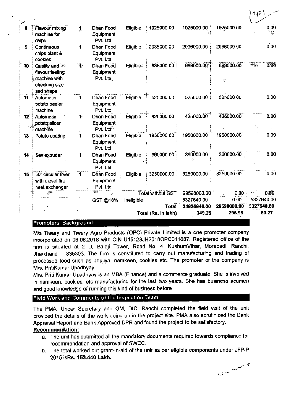|          |                                                               |          |                                                         |                             | Total (Rs. in lakh)      | 349.25                    | 295.98                  | 53.27                    |
|----------|---------------------------------------------------------------|----------|---------------------------------------------------------|-----------------------------|--------------------------|---------------------------|-------------------------|--------------------------|
|          |                                                               |          | GST@18%                                                 | Ineligible                  | <b>Total</b>             | 5327640.00<br>34925640.00 | 0.00<br>29598000.00     | 5327640.00<br>5327640.00 |
|          |                                                               |          | 4831                                                    |                             | <b>Total without GST</b> | 29598000.00               | $0.00 -$                | τś<br>0.00               |
| 15       | 50" circular fryer<br>with diesel fire<br>heat exchanger      | 1        | Dhan Food<br>Equipment<br>Pvt. Ltd.                     | Eligible                    | 3250000.00               | 3250000.00                | 3250000.00              | 0.00                     |
| 14       | Sev extruder                                                  | 1        | Dhan Food<br>Equipment<br>Pvt. Ltd.                     | Eligible                    | 360000.00                | 360000.00                 | 360000.00               | 0.00                     |
| 13       | Potato coating                                                |          | Dhan Food<br>Equipment<br>Pvt. Ltd.                     | Eligible                    | 1950000.00               | 1950000.00                | 1950000.00              | 0.00                     |
| 12       | Automatic<br>potato slicer<br>machine                         | 1.       | <b>Dhan Food</b><br>Equipment<br>Pvt. Ltd.              | Eligible                    | 425000.00                | 425000.00                 | 425000.00               | 0.00<br>Ab               |
| 11       | Automatic<br>potato peeler<br>machine                         |          | Dhan Food<br>Equipment<br>Pvt. Ltd.                     | Eligible                    | 525000.00                | 525000.00                 | 525000.00               | 0.00                     |
|          | flavour testing<br>machine with<br>checking size<br>and shape |          | Equipment<br>Pvt. Ltd.                                  |                             |                          |                           | Æ.                      |                          |
| 9.<br>10 | Continuous<br>chips plant &<br>cookies<br>Quality and         | 1.<br>પે | Dhan Food<br>Equipment<br>Pvt. Ltd.<br><b>Dhan Food</b> | Eligible<br><b>Eligible</b> | 2936000.00<br>688000.00  | 2936000.00<br>688000.00   | 2936000.00<br>688000.00 | 0.00<br>0.00<br>~÷∰e.    |
|          | Flavour mixing<br>machine for<br>chips                        | 1,       | Dhan Food<br>Equipment<br>Pvt. Ltd.                     | Eligible                    | 1925000.00               | 1925000.00                | 1925000.00              | 0.00                     |
|          |                                                               |          |                                                         |                             |                          |                           |                         | 2(1)                     |

#### Promoters' Background:

M/s Tiwary and Tiwary Agro Products (OPC) Private Limited is a one promoter company incorporated on 06.08.2018 with CIN U15123JH2018OPC011687. Registered office of the firm is situated at 2 D, Balaji Tower, Road No. 4, KushumVihar, Morabadi, Ranchi, Jharkhand - 835303. The firm is constituted to carry out manufacturing and trading of processed food such as bhujiya, namkeen, cookies etc. The promoter of the company is Mrs. PritiKumariUpadhyay.

Mrs. Priti Kumar Upadhyay is an MBA (Finance) and a commerce graduate. She is involved in namkeen, cookies, etc manufacturing for the last two years. She has business acumen and good knowledge of running this kind of business before

#### Field Work and Comments of the Inspection Team

The PMA, Under Secretary and GM, DIC, Ranchi completed the field visit of the unit provided the details of the work going on in the project site. PMA also scrutinized the Bank Appraisal Report and Bank Approved DPR and found the project to be satisfactory.

#### Recommendation:

- a. The unit has submitted all the mandatory documents required towards compliance for recommendation and approval of SWCC.
- b. The total worked out grant-in-aid of the unit as per eligible components under JFPIP 2015 isRs. 153.440 Lakh.

سىمىن

 $\mathbf{v} = -\mathbf{f}$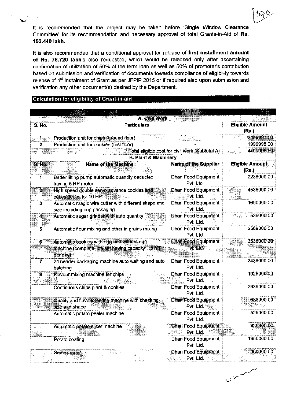It is recommended that the project may be taken before 'Single Window Clearance Committee' for its recommendation and necessary approval of total Grants-in-Aid of Rs. 153.440 lakh.

It is also recommended that a conditional approval for release of first installment amount of Rs. 76.720 lakhis also requested, which would be released only after ascertaining confirmation of utilization of 50% of the term loan as well as 50% of promoter's contribution based on submission and verification of documents towards compliance of eligibility towards release of 1<sup>st</sup> Instalment of Grant as per JFPIP 2015 or if required also upon submission and verification any other document(s) desired by the Department.

#### Calculation for eligibility of Grant-in-aid

|                  | A. Civil Work                                                                                               |                                                 |                                 |
|------------------|-------------------------------------------------------------------------------------------------------------|-------------------------------------------------|---------------------------------|
| <b>S. No.</b>    | <b>Particulars</b>                                                                                          |                                                 | <b>Eligible Amount</b>          |
|                  |                                                                                                             |                                                 | (Rs.)                           |
| 1. <sub>22</sub> | Production unit for chips (ground floor)                                                                    |                                                 | 2499997 50                      |
| 2                | Production unit for cookies (first floor)                                                                   |                                                 | 1999998.00                      |
|                  |                                                                                                             | Total eligible cost for civil work (Subtotal A) | 4499995.50                      |
|                  | <b>B. Plant &amp; Machinery</b>                                                                             |                                                 |                                 |
| S.No.            | Name of the Machine                                                                                         | <b>Name of the Supplier</b>                     | <b>Eligible Amount</b><br>(Rs.) |
| 1                | Batter lifting pump automatic quantity deducted<br>having 5 HP motor                                        | Dhan Food Equipment<br>Pvt. Ltd.                | 2236000.00                      |
| $\mathbf{2}^*$   | High speed double serve advance cookies and<br>cakes depositor 10 HP                                        | Dhan Food Equipment<br>Pvt. Ltd.                | 4536000.00                      |
| 3                | Automatic magic wire cutter with different shape and<br>size including cup packaging                        | Dhan Food Equipment<br>Pvt. Ltd.                | 1690000.00                      |
| $\mathbf{4}$     | Automatic sugar grinder with auto quantity                                                                  | Dhan Food Equipment<br>Pvt. Ltd.                | 536000.00                       |
| 5                | Automatic flour mixing and other in grains mixing                                                           | Dhan Food Equipment<br>Pvt. Ltd.                | 2569000.00                      |
| ີ6ື              | Automatic cookies with egg and without egg<br>machine (complete line set having capacity 1.5 MT<br>per day) | Dhan Food Equipment<br>Pvt. Ltd.                | 3536000.00                      |
| 7                | 24 header packaging machine auto waiting and auto<br>batching                                               | Dhan Food Equipment<br>Pvt. Ltd.                | 2436000.00                      |
|                  | Flavour mixing machine for chips.                                                                           | Dhan Food Equipment                             | 1925000.00                      |
|                  |                                                                                                             | Pvt. Ltd.                                       | 2936000.00                      |
|                  | Continuous chips plant & cookies                                                                            | Dhan Food Equipment<br>Pvt. Ltd.                |                                 |
|                  | Quality and flavour testing machine with checking<br>size and shape                                         | <b>Dhan Food Equipment</b><br>Pvt. Ltd.         | 688000.00                       |
|                  | wiki se<br>Automatic potato peeler machine                                                                  | Dhan Food Equipment<br>Pvt. Ltd.                | 525000.00                       |
|                  | Automatic potato slicer machine                                                                             | <b>Dhan Food Equipment</b><br>Pvt. Ltd.         | 425000.00                       |
|                  | Potato coating                                                                                              | Dhan Food Equipment<br>Pvt. Ltd.                | 1950000.00                      |
|                  | 355명<br>Sevextruder                                                                                         | Dhan Food Equipment<br>Pvt. Ltd.                | 360000.00<br>al<br>Skot         |

 $U^{\nu}$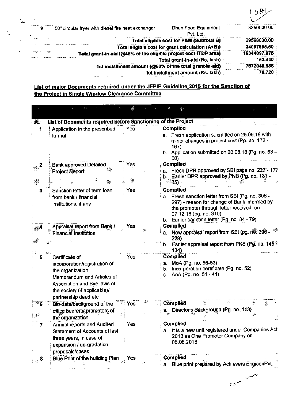|                                                                                        | Цb           |
|----------------------------------------------------------------------------------------|--------------|
| Dhan Food Equipment<br>50" circular fryer with diesel fire heat exchanger<br>Pvt. Ltd. | 3250000.00   |
| Total eligible cost for P&M (Subtotal B)                                               | 29598000.00  |
| Total eligible cost for grant calculation (A+B))                                       | 34097995.50  |
| Total grant-in-aid (@45% of the eligible project cost-ITDP area)                       | 15344097.975 |
| Total grant-in-aid (Rs. lakh)                                                          | 153.440      |
| 1st installment amount (@50% of the total grant-in-aid)                                | 7672048.988  |
| 1st installment amount (Rs. lakh)                                                      | 76.720       |

# List of major Documents required under the JFPIP Guideline 2015 for the Sanction of the Project in Single Window Clearance Committee

بية

 $\mathcal{L}^{\mathcal{L}}$ 

 $\mathcal{L}^{(1)}$ 

 $\mathbb{R}^{\bullet}$ 

| $\cdot$ , $\sim$                   | 湖                                                                                                                                                                                         |                          |                                                                                                                                                                                                                                                                                                                        |
|------------------------------------|-------------------------------------------------------------------------------------------------------------------------------------------------------------------------------------------|--------------------------|------------------------------------------------------------------------------------------------------------------------------------------------------------------------------------------------------------------------------------------------------------------------------------------------------------------------|
| Æ                                  | List of Documents required before Sanctioning of the Project                                                                                                                              |                          |                                                                                                                                                                                                                                                                                                                        |
|                                    | Application in the prescribed<br>format                                                                                                                                                   | Yes                      | <b>Complied</b><br>a. Fresh application submitted on 25.09.18 with<br>minor changes in project cost (Pg. no. 172 -<br>167)<br>b. Application submitted on 20.08.18 (Pg. no. $63 -$<br>58)                                                                                                                              |
|                                    | <b>Bank approved Detailed</b><br><b>Project Report</b>                                                                                                                                    | res                      | <b>Complied</b><br>a. Fresh DPR approved by SBI page no. 227-177<br>b. Earlier DPR approved by PNB (Pg. no. 131 -<br>ి 85) ా                                                                                                                                                                                           |
| з                                  | Sanction letter of term loan<br>from bank / financial<br>institutions, if any<br>Appraisal report from Bank /<br>Financial Institution                                                    | Yes<br>Yes<br>98         | <b>Complied</b><br>Fresh sanction letter from SBI (Pg. no. 306 -<br>а. -<br>297) - reason for change of Bank informed by<br>the promoter through letter received on<br>07.12.18 (pg. no. 310)<br>b. Earlier sanction letter (Pg. no. 84 - 79)<br><b>Complied</b><br>New appraisal report from SBI (pg. no. 296 -<br>a. |
|                                    |                                                                                                                                                                                           |                          | 228)<br>Earlier appraisal report from PNB (Pg. no. 145 <sup>th</sup><br>b.<br>134)                                                                                                                                                                                                                                     |
| 5                                  | Certificate of<br>incorporation/registration of<br>the organization,<br>Memorandum and Articles of<br>Association and Bye laws of<br>the society (if applicable)/<br>partnership deed etc | Yes                      | Complied<br>MoA (Pg. no. 56-53)<br>а.<br>Incorporation certificate (Pg. no. 52)<br>b.<br>AoA (Pg. no. 51 - 41)<br>С.                                                                                                                                                                                                   |
| - 6<br>$\mathbb{E}^{\mathbb{Z}^*}$ | -3484<br>Bio-data/background of the<br>office bearers/ promoters of<br>the organization                                                                                                   | Yes                      | Complied<br>Director's Background (Pg. no. 113)<br>а.                                                                                                                                                                                                                                                                  |
| 7                                  | <b>Annual reports and Audited</b><br><b>Statement of Accounts of last</b><br>three years, in case of<br>expansion / up-gradation<br>proposals/cases                                       | Yes                      | Complied<br>It is a new unit registered under Companies Act<br>а.<br>2013 as One Promoter Company on<br>06.08.2018                                                                                                                                                                                                     |
|                                    | Blue Print of the building Plan                                                                                                                                                           | Yes<br>$\sim$ ( $\sigma$ | <b>Complied</b><br>Blue print prepared by Achievers EngiconPvt.<br>a.                                                                                                                                                                                                                                                  |

 $C_{\infty}$